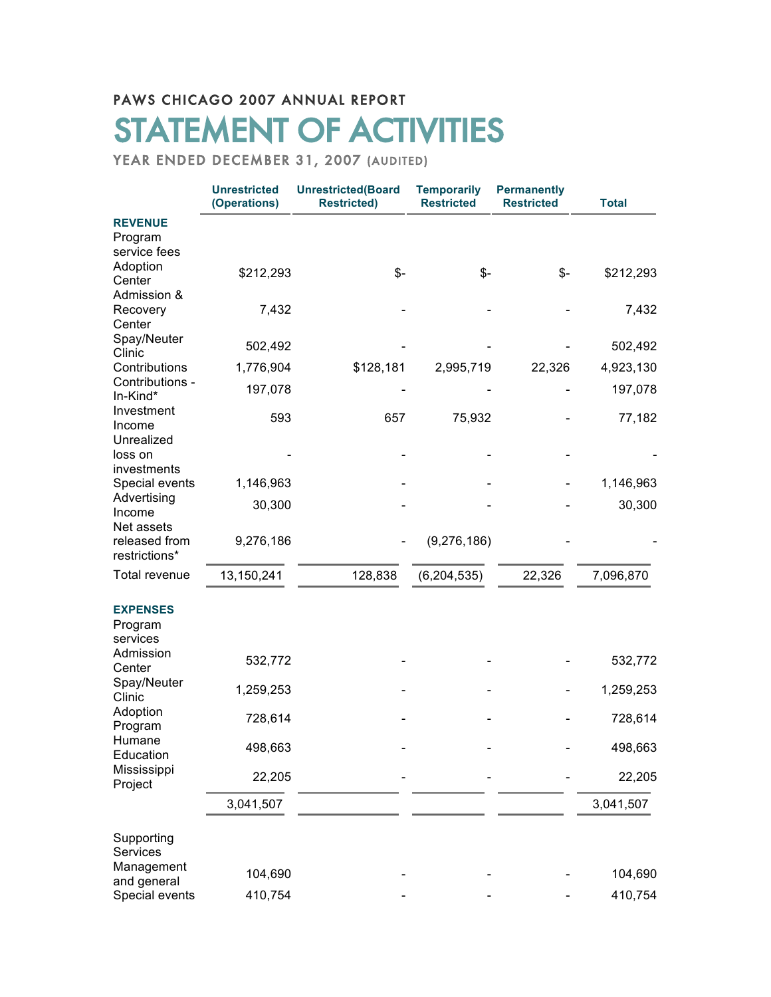## PAWS CHICAGO 2007 ANNUAL REPORT

STATEMENT OF ACTIVITIES

|                                                                                    | <b>Unrestricted</b><br>(Operations) | <b>Unrestricted(Board</b><br><b>Restricted)</b> | <b>Temporarily</b><br><b>Restricted</b> | <b>Permanently</b><br><b>Restricted</b> | <b>Total</b> |
|------------------------------------------------------------------------------------|-------------------------------------|-------------------------------------------------|-----------------------------------------|-----------------------------------------|--------------|
| <b>REVENUE</b><br>Program<br>service fees                                          |                                     |                                                 |                                         |                                         |              |
| Adoption<br>Center                                                                 | \$212,293                           | $$-$                                            | $\frac{2}{3}$                           | $\frac{2}{3}$                           | \$212,293    |
| Admission &<br>Recovery<br>Center                                                  | 7,432                               |                                                 |                                         |                                         | 7,432        |
| Spay/Neuter<br>Clinic                                                              | 502,492                             |                                                 |                                         |                                         | 502,492      |
| Contributions<br>Contributions -<br>In-Kind*<br>Investment<br>Income<br>Unrealized | 1,776,904                           | \$128,181                                       | 2,995,719                               | 22,326                                  | 4,923,130    |
|                                                                                    | 197,078                             |                                                 |                                         |                                         | 197,078      |
|                                                                                    | 593                                 | 657                                             | 75,932                                  |                                         | 77,182       |
| loss on                                                                            |                                     |                                                 |                                         |                                         |              |
| investments<br>Special events                                                      | 1,146,963                           |                                                 |                                         |                                         | 1,146,963    |
| Advertising<br>Income                                                              | 30,300                              |                                                 |                                         |                                         | 30,300       |
| Net assets<br>released from<br>restrictions*                                       | 9,276,186                           |                                                 | (9,276,186)                             |                                         |              |
| Total revenue                                                                      | 13,150,241                          | 128,838                                         | (6, 204, 535)                           | 22,326                                  | 7,096,870    |
| <b>EXPENSES</b><br>Program<br>services                                             |                                     |                                                 |                                         |                                         |              |
| Admission<br>Center                                                                | 532,772                             |                                                 |                                         |                                         | 532,772      |
| Spay/Neuter<br>Clinic                                                              | 1,259,253                           |                                                 |                                         |                                         | 1,259,253    |
| Adoption<br>Program                                                                | 728,614                             |                                                 |                                         |                                         | 728,614      |
| Humane<br>Education                                                                | 498,663                             |                                                 |                                         |                                         | 498,663      |
| Mississippi<br>Project                                                             | 22,205                              |                                                 |                                         |                                         | 22,205       |
|                                                                                    | 3,041,507                           |                                                 |                                         |                                         | 3,041,507    |
| Supporting<br>Services<br>Management                                               |                                     |                                                 |                                         |                                         |              |
| and general                                                                        | 104,690                             |                                                 |                                         |                                         | 104,690      |
| Special events                                                                     | 410,754                             |                                                 |                                         |                                         | 410,754      |